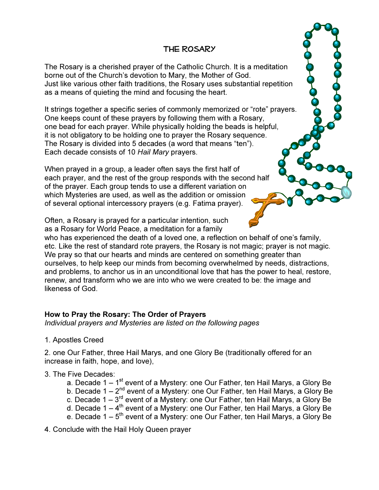# The Rosary

The Rosary is a cherished prayer of the Catholic Church. It is a meditation borne out of the Church's devotion to Mary, the Mother of God. Just like various other faith traditions, the Rosary uses substantial repetition as a means of quieting the mind and focusing the heart.

It strings together a specific series of commonly memorized or "rote" prayers. One keeps count of these prayers by following them with a Rosary, one bead for each prayer. While physically holding the beads is helpful, it is not obligatory to be holding one to prayer the Rosary sequence. The Rosary is divided into 5 decades (a word that means "ten"). Each decade consists of 10 *Hail Mary* prayers.

When prayed in a group, a leader often says the first half of each prayer, and the rest of the group responds with the second half of the prayer. Each group tends to use a different variation on which Mysteries are used, as well as the addition or omission of several optional intercessory prayers (e.g. Fatima prayer).

Often, a Rosary is prayed for a particular intention, such as a Rosary for World Peace, a meditation for a family

who has experienced the death of a loved one, a reflection on behalf of one's family, etc. Like the rest of standard rote prayers, the Rosary is not magic; prayer is not magic. We pray so that our hearts and minds are centered on something greater than ourselves, to help keep our minds from becoming overwhelmed by needs, distractions, and problems, to anchor us in an unconditional love that has the power to heal, restore, renew, and transform who we are into who we were created to be: the image and likeness of God.

### How to Pray the Rosary: The Order of Prayers

*Individual prayers and Mysteries are listed on the following pages* 

1. Apostles Creed

2. one Our Father, three Hail Marys, and one Glory Be (traditionally offered for an increase in faith, hope, and love),

#### 3. The Five Decades:

- a. Decade  $1 1<sup>st</sup>$  event of a Mystery: one Our Father, ten Hail Marys, a Glory Be
- b. Decade 1 2<sup>nd</sup> event of a Mystery: one Our Father, ten Hail Marys, a Glory Be
- c. Decade 1  $3^{rd}$  event of a Mystery: one Our Father, ten Hail Marys, a Glory Be
- d. Decade  $1 4$ <sup>th</sup> event of a Mystery: one Our Father, ten Hail Marys, a Glory Be
- e. Decade  $1 5$ <sup>th</sup> event of a Mystery: one Our Father, ten Hail Marys, a Glory Be

4. Conclude with the Hail Holy Queen prayer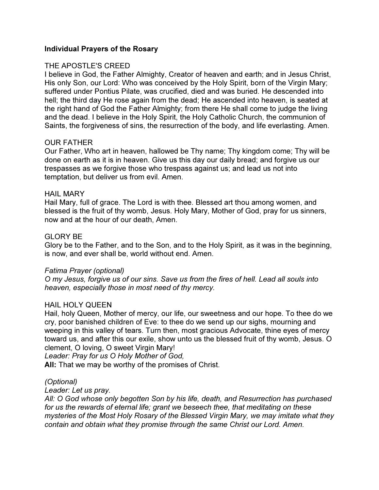### Individual Prayers of the Rosary

### THE APOSTLE'S CREED

I believe in God, the Father Almighty, Creator of heaven and earth; and in Jesus Christ, His only Son, our Lord: Who was conceived by the Holy Spirit, born of the Virgin Mary; suffered under Pontius Pilate, was crucified, died and was buried. He descended into hell; the third day He rose again from the dead; He ascended into heaven, is seated at the right hand of God the Father Almighty; from there He shall come to judge the living and the dead. I believe in the Holy Spirit, the Holy Catholic Church, the communion of Saints, the forgiveness of sins, the resurrection of the body, and life everlasting. Amen.

#### OUR FATHER

Our Father, Who art in heaven, hallowed be Thy name; Thy kingdom come; Thy will be done on earth as it is in heaven. Give us this day our daily bread; and forgive us our trespasses as we forgive those who trespass against us; and lead us not into temptation, but deliver us from evil. Amen.

#### HAIL MARY

Hail Mary, full of grace. The Lord is with thee. Blessed art thou among women, and blessed is the fruit of thy womb, Jesus. Holy Mary, Mother of God, pray for us sinners, now and at the hour of our death, Amen.

#### GLORY BE

Glory be to the Father, and to the Son, and to the Holy Spirit, as it was in the beginning, is now, and ever shall be, world without end. Amen.

#### *Fatima Prayer (optional)*

*O my Jesus, forgive us of our sins. Save us from the fires of hell. Lead all souls into heaven, especially those in most need of thy mercy.* 

#### HAIL HOLY QUEEN

Hail, holy Queen, Mother of mercy, our life, our sweetness and our hope. To thee do we cry, poor banished children of Eve: to thee do we send up our sighs, mourning and weeping in this valley of tears. Turn then, most gracious Advocate, thine eyes of mercy toward us, and after this our exile, show unto us the blessed fruit of thy womb, Jesus. O clement, O loving, O sweet Virgin Mary!

*Leader: Pray for us O Holy Mother of God,*

All: That we may be worthy of the promises of Christ.

#### *(Optional)*

#### *Leader: Let us pray.*

*All: O God whose only begotten Son by his life, death, and Resurrection has purchased for us the rewards of eternal life; grant we beseech thee, that meditating on these mysteries of the Most Holy Rosary of the Blessed Virgin Mary, we may imitate what they contain and obtain what they promise through the same Christ our Lord. Amen.*